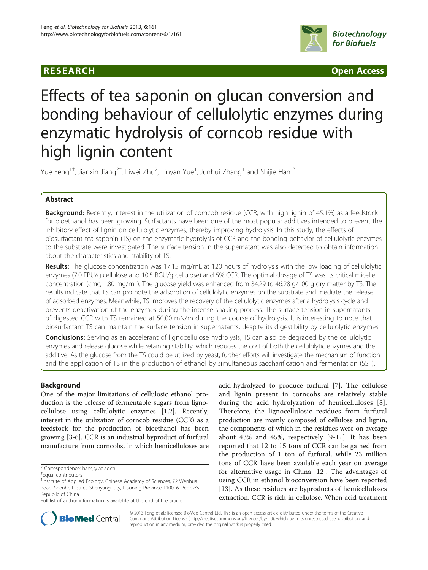## **RESEARCH CHINESE ARCH CHINESE ARCH CHINESE ARCH <b>CHINESE ARCH CHINESE ARCH CHINESE ARCH <b>CHINESE** ARCH **CHINESE ARCH** CHINESE ARCH **CHINESE ARCH** CHINESE ARCH **CHINESE ARCH 2014**



# Effects of tea saponin on glucan conversion and bonding behaviour of cellulolytic enzymes during enzymatic hydrolysis of corncob residue with high lignin content

Yue Feng $^{\rm 1+}$ , Jianxin Jiang $^{\rm 2+}$ , Liwei Zhu $^{\rm 2}$ , Linyan Yue $^{\rm 1}$ , Junhui Zhang $^{\rm 1}$  and Shijie Han $^{\rm 1*}$ 

## Abstract

Background: Recently, interest in the utilization of corncob residue (CCR, with high lignin of 45.1%) as a feedstock for bioethanol has been growing. Surfactants have been one of the most popular additives intended to prevent the inhibitory effect of lignin on cellulolytic enzymes, thereby improving hydrolysis. In this study, the effects of biosurfactant tea saponin (TS) on the enzymatic hydrolysis of CCR and the bonding behavior of cellulolytic enzymes to the substrate were investigated. The surface tension in the supernatant was also detected to obtain information about the characteristics and stability of TS.

Results: The glucose concentration was 17.15 mg/mL at 120 hours of hydrolysis with the low loading of cellulolytic enzymes (7.0 FPU/g cellulose and 10.5 BGU/g cellulose) and 5% CCR. The optimal dosage of TS was its critical micelle concentration (cmc, 1.80 mg/mL). The glucose yield was enhanced from 34.29 to 46.28 g/100 g dry matter by TS. The results indicate that TS can promote the adsorption of cellulolytic enzymes on the substrate and mediate the release of adsorbed enzymes. Meanwhile, TS improves the recovery of the cellulolytic enzymes after a hydrolysis cycle and prevents deactivation of the enzymes during the intense shaking process. The surface tension in supernatants of digested CCR with TS remained at 50.00 mN/m during the course of hydrolysis. It is interesting to note that biosurfactant TS can maintain the surface tension in supernatants, despite its digestibility by cellulolytic enzymes.

**Conclusions:** Serving as an accelerant of lignocellulose hydrolysis, TS can also be degraded by the cellulolytic enzymes and release glucose while retaining stability, which reduces the cost of both the cellulolytic enzymes and the additive. As the glucose from the TS could be utilized by yeast, further efforts will investigate the mechanism of function and the application of TS in the production of ethanol by simultaneous saccharification and fermentation (SSF).

## Background

One of the major limitations of cellulosic ethanol production is the release of fermentable sugars from lignocellulose using cellulolytic enzymes [\[1,2](#page-6-0)]. Recently, interest in the utilization of corncob residue (CCR) as a feedstock for the production of bioethanol has been growing [[3-6](#page-6-0)]. CCR is an industrial byproduct of furfural manufacture from corncobs, in which hemicelluloses are

acid-hydrolyzed to produce furfural [\[7](#page-6-0)]. The cellulose and lignin present in corncobs are relatively stable during the acid hydrolyzation of hemicelluloses [[8](#page-6-0)]. Therefore, the lignocellulosic residues from furfural production are mainly composed of cellulose and lignin, the components of which in the residues were on average about 43% and 45%, respectively [\[9](#page-6-0)-[11](#page-6-0)]. It has been reported that 12 to 15 tons of CCR can be gained from the production of 1 ton of furfural, while 23 million tons of CCR have been available each year on average for alternative usage in China [[12\]](#page-6-0). The advantages of using CCR in ethanol bioconversion have been reported [[13](#page-6-0)]. As these residues are byproducts of hemicelluloses extraction, CCR is rich in cellulose. When acid treatment



© 2013 Feng et al.; licensee BioMed Central Ltd. This is an open access article distributed under the terms of the Creative Commons Attribution License [\(http://creativecommons.org/licenses/by/2.0\)](http://creativecommons.org/licenses/by/2.0), which permits unrestricted use, distribution, and reproduction in any medium, provided the original work is properly cited.

<sup>\*</sup> Correspondence: [hansj@iae.ac.cn](mailto:hansj@iae.ac.cn) †

Equal contributors

<sup>&</sup>lt;sup>1</sup>Institute of Applied Ecology, Chinese Academy of Sciences, 72 Wenhua Road, Shenhe District, Shenyang City, Liaoning Province 110016, People's Republic of China

Full list of author information is available at the end of the article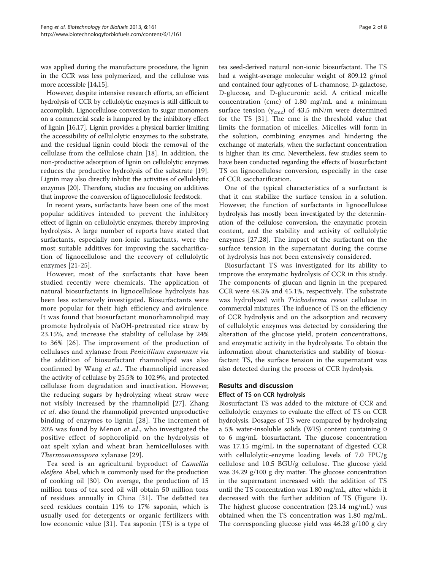was applied during the manufacture procedure, the lignin in the CCR was less polymerized, and the cellulose was more accessible [[14,15](#page-6-0)].

However, despite intensive research efforts, an efficient hydrolysis of CCR by cellulolytic enzymes is still difficult to accomplish. Lignocellulose conversion to sugar monomers on a commercial scale is hampered by the inhibitory effect of lignin [[16,17\]](#page-6-0). Lignin provides a physical barrier limiting the accessibility of cellulolytic enzymes to the substrate, and the residual lignin could block the removal of the cellulase from the cellulose chain [[18\]](#page-6-0). In addition, the non-productive adsorption of lignin on cellulolytic enzymes reduces the productive hydrolysis of the substrate [\[19](#page-6-0)]. Lignin may also directly inhibit the activities of cellulolytic enzymes [\[20\]](#page-6-0). Therefore, studies are focusing on additives that improve the conversion of lignocellulosic feedstock.

In recent years, surfactants have been one of the most popular additives intended to prevent the inhibitory effect of lignin on cellulolytic enzymes, thereby improving hydrolysis. A large number of reports have stated that surfactants, especially non-ionic surfactants, were the most suitable additives for improving the saccharification of lignocellulose and the recovery of cellulolytic enzymes [\[21-](#page-6-0)[25](#page-7-0)].

However, most of the surfactants that have been studied recently were chemicals. The application of natural biosurfactants in lignocellulose hydrolysis has been less extensively investigated. Biosurfactants were more popular for their high efficiency and avirulence. It was found that biosurfactant monorhamnolipid may promote hydrolysis of NaOH-pretreated rice straw by 23.15%, and increase the stability of cellulase by 24% to 36% [\[26\]](#page-7-0). The improvement of the production of cellulases and xylanase from Penicillium expansum via the addition of biosurfactant rhamnolipid was also confirmed by Wang et al.. The rhamnolipid increased the activity of cellulase by 25.5% to 102.9%, and protected cellulase from degradation and inactivation. However, the reducing sugars by hydrolyzing wheat straw were not visibly increased by the rhamnolipid [[27\]](#page-7-0). Zhang et al. also found the rhamnolipid prevented unproductive binding of enzymes to lignin [[28](#page-7-0)]. The increment of 20% was found by Menon et al., who investigated the positive effect of sophorolipid on the hydrolysis of oat spelt xylan and wheat bran hemicelluloses with Thermomonospora xylanase [[29](#page-7-0)].

Tea seed is an agricultural byproduct of Camellia oleifera Abel, which is commonly used for the production of cooking oil [[30\]](#page-7-0). On average, the production of 15 million tons of tea seed oil will obtain 50 million tons of residues annually in China [[31\]](#page-7-0). The defatted tea seed residues contain 11% to 17% saponin, which is usually used for detergents or organic fertilizers with low economic value [\[31](#page-7-0)]. Tea saponin (TS) is a type of

tea seed-derived natural non-ionic biosurfactant. The TS had a weight-average molecular weight of 809.12 g/mol and contained four aglycones of L-rhamnose, D-galactose, D-glucose, and D-glucuronic acid. A critical micelle concentration (cmc) of 1.80 mg/mL and a minimum surface tension ( $\gamma_{\rm cmc}$ ) of 43.5 mN/m were determined for the TS [[31\]](#page-7-0). The cmc is the threshold value that limits the formation of micelles. Micelles will form in the solution, combining enzymes and hindering the exchange of materials, when the surfactant concentration is higher than its cmc. Nevertheless, few studies seem to have been conducted regarding the effects of biosurfactant TS on lignocellulose conversion, especially in the case of CCR saccharification.

One of the typical characteristics of a surfactant is that it can stabilize the surface tension in a solution. However, the function of surfactants in lignocellulose hydrolysis has mostly been investigated by the determination of the cellulose conversion, the enzymatic protein content, and the stability and activity of cellulolytic enzymes [\[27](#page-7-0),[28\]](#page-7-0). The impact of the surfactant on the surface tension in the supernatant during the course of hydrolysis has not been extensively considered.

Biosurfactant TS was investigated for its ability to improve the enzymatic hydrolysis of CCR in this study. The components of glucan and lignin in the prepared CCR were 48.3% and 45.1%, respectively. The substrate was hydrolyzed with Trichoderma reesei cellulase in commercial mixtures. The influence of TS on the efficiency of CCR hydrolysis and on the adsorption and recovery of cellulolytic enzymes was detected by considering the alteration of the glucose yield, protein concentrations, and enzymatic activity in the hydrolysate. To obtain the information about characteristics and stability of biosurfactant TS, the surface tension in the supernatant was also detected during the process of CCR hydrolysis.

## Results and discussion

#### Effect of TS on CCR hydrolysis

Biosurfactant TS was added to the mixture of CCR and cellulolytic enzymes to evaluate the effect of TS on CCR hydrolysis. Dosages of TS were compared by hydrolyzing a 5% water-insoluble solids (WIS) content containing 0 to 6 mg/mL biosurfactant. The glucose concentration was 17.15 mg/mL in the supernatant of digested CCR with cellulolytic-enzyme loading levels of 7.0 FPU/g cellulose and 10.5 BGU/g cellulose. The glucose yield was 34.29 g/100 g dry matter. The glucose concentration in the supernatant increased with the addition of TS until the TS concentration was 1.80 mg/mL, after which it decreased with the further addition of TS (Figure [1](#page-2-0)). The highest glucose concentration (23.14 mg/mL) was obtained when the TS concentration was 1.80 mg/mL. The corresponding glucose yield was 46.28 g/100 g dry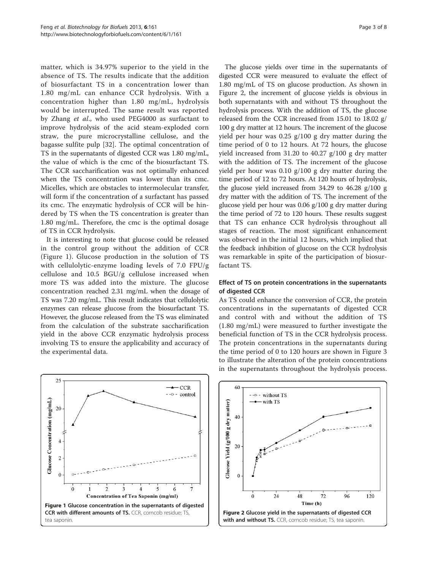<span id="page-2-0"></span>matter, which is 34.97% superior to the yield in the absence of TS. The results indicate that the addition of biosurfactant TS in a concentration lower than 1.80 mg/mL can enhance CCR hydrolysis. With a concentration higher than 1.80 mg/mL, hydrolysis would be interrupted. The same result was reported by Zhang et al., who used PEG4000 as surfactant to improve hydrolysis of the acid steam-exploded corn straw, the pure microcrystalline cellulose, and the bagasse sulfite pulp [\[32](#page-7-0)]. The optimal concentration of TS in the supernatants of digested CCR was 1.80 mg/mL, the value of which is the cmc of the biosurfactant TS. The CCR saccharification was not optimally enhanced when the TS concentration was lower than its cmc. Micelles, which are obstacles to intermolecular transfer, will form if the concentration of a surfactant has passed its cmc. The enzymatic hydrolysis of CCR will be hindered by TS when the TS concentration is greater than 1.80 mg/mL. Therefore, the cmc is the optimal dosage of TS in CCR hydrolysis.

It is interesting to note that glucose could be released in the control group without the addition of CCR (Figure 1). Glucose production in the solution of TS with cellulolytic-enzyme loading levels of 7.0 FPU/g cellulose and 10.5 BGU/g cellulose increased when more TS was added into the mixture. The glucose concentration reached 2.31 mg/mL when the dosage of TS was 7.20 mg/mL. This result indicates that cellulolytic enzymes can release glucose from the biosurfactant TS. However, the glucose released from the TS was eliminated from the calculation of the substrate saccharification yield in the above CCR enzymatic hydrolysis process involving TS to ensure the applicability and accuracy of the experimental data.



The glucose yields over time in the supernatants of digested CCR were measured to evaluate the effect of 1.80 mg/mL of TS on glucose production. As shown in Figure 2, the increment of glucose yields is obvious in both supernatants with and without TS throughout the hydrolysis process. With the addition of TS, the glucose released from the CCR increased from 15.01 to 18.02 g/ 100 g dry matter at 12 hours. The increment of the glucose yield per hour was 0.25 g/100 g dry matter during the time period of 0 to 12 hours. At 72 hours, the glucose yield increased from 31.20 to 40.27 g/100 g dry matter with the addition of TS. The increment of the glucose yield per hour was  $0.10 \frac{g}{100}$  g dry matter during the time period of 12 to 72 hours. At 120 hours of hydrolysis, the glucose yield increased from 34.29 to 46.28  $g/100$  g dry matter with the addition of TS. The increment of the glucose yield per hour was 0.06 g/100 g dry matter during the time period of 72 to 120 hours. These results suggest that TS can enhance CCR hydrolysis throughout all stages of reaction. The most significant enhancement was observed in the initial 12 hours, which implied that the feedback inhibition of glucose on the CCR hydrolysis was remarkable in spite of the participation of biosurfactant TS.

#### Effect of TS on protein concentrations in the supernatants of digested CCR

As TS could enhance the conversion of CCR, the protein concentrations in the supernatants of digested CCR and control with and without the addition of TS (1.80 mg/mL) were measured to further investigate the beneficial function of TS in the CCR hydrolysis process. The protein concentrations in the supernatants during the time period of 0 to 120 hours are shown in Figure [3](#page-3-0) to illustrate the alteration of the protein concentrations in the supernatants throughout the hydrolysis process.

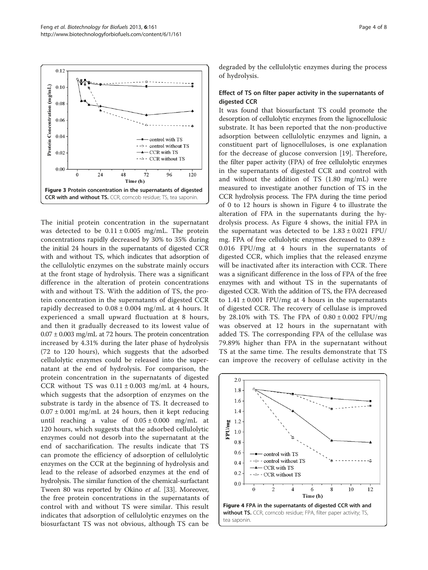<span id="page-3-0"></span>

The initial protein concentration in the supernatant was detected to be  $0.11 \pm 0.005$  mg/mL. The protein concentrations rapidly decreased by 30% to 35% during the initial 24 hours in the supernatants of digested CCR with and without TS, which indicates that adsorption of the cellulolytic enzymes on the substrate mainly occurs at the front stage of hydrolysis. There was a significant difference in the alteration of protein concentrations with and without TS. With the addition of TS, the protein concentration in the supernatants of digested CCR rapidly decreased to  $0.08 \pm 0.004$  mg/mL at 4 hours. It experienced a small upward fluctuation at 8 hours, and then it gradually decreased to its lowest value of  $0.07 \pm 0.003$  mg/mL at 72 hours. The protein concentration increased by 4.31% during the later phase of hydrolysis (72 to 120 hours), which suggests that the adsorbed cellulolytic enzymes could be released into the supernatant at the end of hydrolysis. For comparison, the protein concentration in the supernatants of digested CCR without TS was  $0.11 \pm 0.003$  mg/mL at 4 hours, which suggests that the adsorption of enzymes on the substrate is tardy in the absence of TS. It decreased to  $0.07 \pm 0.001$  mg/mL at 24 hours, then it kept reducing until reaching a value of  $0.05 \pm 0.000$  mg/mL at 120 hours, which suggests that the adsorbed cellulolytic enzymes could not desorb into the supernatant at the end of saccharification. The results indicate that TS can promote the efficiency of adsorption of cellulolytic enzymes on the CCR at the beginning of hydrolysis and lead to the release of adsorbed enzymes at the end of hydrolysis. The similar function of the chemical-surfactant Tween 80 was reported by Okino et al. [\[33\]](#page-7-0). Moreover, the free protein concentrations in the supernatants of control with and without TS were similar. This result indicates that adsorption of cellulolytic enzymes on the biosurfactant TS was not obvious, although TS can be degraded by the cellulolytic enzymes during the process of hydrolysis.

## Effect of TS on filter paper activity in the supernatants of digested CCR

It was found that biosurfactant TS could promote the desorption of cellulolytic enzymes from the lignocellulosic substrate. It has been reported that the non-productive adsorption between cellulolytic enzymes and lignin, a constituent part of lignocelluloses, is one explanation for the decrease of glucose conversion [[19](#page-6-0)]. Therefore, the filter paper activity (FPA) of free cellulolytic enzymes in the supernatants of digested CCR and control with and without the addition of TS (1.80 mg/mL) were measured to investigate another function of TS in the CCR hydrolysis process. The FPA during the time period of 0 to 12 hours is shown in Figure 4 to illustrate the alteration of FPA in the supernatants during the hydrolysis process. As Figure 4 shows, the initial FPA in the supernatant was detected to be  $1.83 \pm 0.021$  FPU/ mg. FPA of free cellulolytic enzymes decreased to 0.89 ± 0.016 FPU/mg at 4 hours in the supernatants of digested CCR, which implies that the released enzyme will be inactivated after its interaction with CCR. There was a significant difference in the loss of FPA of the free enzymes with and without TS in the supernatants of digested CCR. With the addition of TS, the FPA decreased to  $1.41 \pm 0.001$  FPU/mg at 4 hours in the supernatants of digested CCR. The recovery of cellulase is improved by 28.10% with TS. The FPA of  $0.80 \pm 0.002$  FPU/mg was observed at 12 hours in the supernatant with added TS. The corresponding FPA of the cellulase was 79.89% higher than FPA in the supernatant without TS at the same time. The results demonstrate that TS can improve the recovery of cellulase activity in the

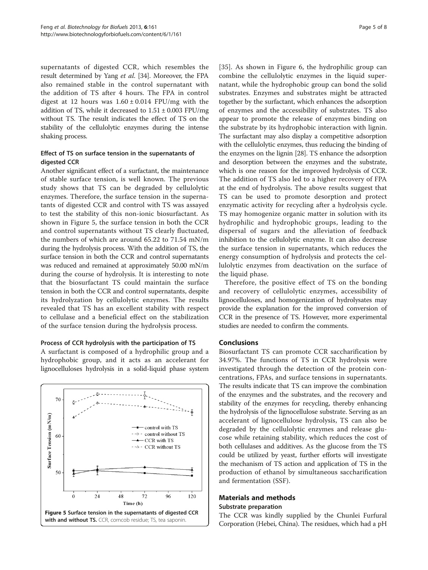supernatants of digested CCR, which resembles the result determined by Yang et al. [\[34\]](#page-7-0). Moreover, the FPA also remained stable in the control supernatant with the addition of TS after 4 hours. The FPA in control digest at 12 hours was  $1.60 \pm 0.014$  FPU/mg with the addition of TS, while it decreased to  $1.51 \pm 0.003$  FPU/mg without TS. The result indicates the effect of TS on the stability of the cellulolytic enzymes during the intense shaking process.

## Effect of TS on surface tension in the supernatants of digested CCR

Another significant effect of a surfactant, the maintenance of stable surface tension, is well known. The previous study shows that TS can be degraded by cellulolytic enzymes. Therefore, the surface tension in the supernatants of digested CCR and control with TS was assayed to test the stability of this non-ionic biosurfactant. As shown in Figure 5, the surface tension in both the CCR and control supernatants without TS clearly fluctuated, the numbers of which are around 65.22 to 71.54 mN/m during the hydrolysis process. With the addition of TS, the surface tension in both the CCR and control supernatants was reduced and remained at approximately 50.00 mN/m during the course of hydrolysis. It is interesting to note that the biosurfactant TS could maintain the surface tension in both the CCR and control supernatants, despite its hydrolyzation by cellulolytic enzymes. The results revealed that TS has an excellent stability with respect to cellulase and a beneficial effect on the stabilization of the surface tension during the hydrolysis process.

## Process of CCR hydrolysis with the participation of TS

A surfactant is composed of a hydrophilic group and a hydrophobic group, and it acts as an accelerant for lignocelluloses hydrolysis in a solid-liquid phase system



[[35](#page-7-0)]. As shown in Figure [6,](#page-5-0) the hydrophilic group can combine the cellulolytic enzymes in the liquid supernatant, while the hydrophobic group can bond the solid substrates. Enzymes and substrates might be attracted together by the surfactant, which enhances the adsorption of enzymes and the accessibility of substrates. TS also appear to promote the release of enzymes binding on the substrate by its hydrophobic interaction with lignin. The surfactant may also display a competitive adsorption with the cellulolytic enzymes, thus reducing the binding of the enzymes on the lignin [\[28](#page-7-0)]. TS enhance the adsorption and desorption between the enzymes and the substrate, which is one reason for the improved hydrolysis of CCR. The addition of TS also led to a higher recovery of FPA at the end of hydrolysis. The above results suggest that TS can be used to promote desorption and protect enzymatic activity for recycling after a hydrolysis cycle. TS may homogenize organic matter in solution with its hydrophilic and hydrophobic groups, leading to the dispersal of sugars and the alleviation of feedback inhibition to the cellulolytic enzyme. It can also decrease the surface tension in supernatants, which reduces the energy consumption of hydrolysis and protects the cellulolytic enzymes from deactivation on the surface of the liquid phase.

Therefore, the positive effect of TS on the bonding and recovery of cellulolytic enzymes, accessibility of lignocelluloses, and homogenization of hydrolysates may provide the explanation for the improved conversion of CCR in the presence of TS. However, more experimental studies are needed to confirm the comments.

## Conclusions

Biosurfactant TS can promote CCR saccharification by 34.97%. The functions of TS in CCR hydrolysis were investigated through the detection of the protein concentrations, FPAs, and surface tensions in supernatants. The results indicate that TS can improve the combination of the enzymes and the substrates, and the recovery and stability of the enzymes for recycling, thereby enhancing the hydrolysis of the lignocellulose substrate. Serving as an accelerant of lignocellulose hydrolysis, TS can also be degraded by the cellulolytic enzymes and release glucose while retaining stability, which reduces the cost of both cellulases and additives. As the glucose from the TS could be utilized by yeast, further efforts will investigate the mechanism of TS action and application of TS in the production of ethanol by simultaneous saccharification and fermentation (SSF).

#### Materials and methods Substrate preparation

The CCR was kindly supplied by the Chunlei Furfural Corporation (Hebei, China). The residues, which had a pH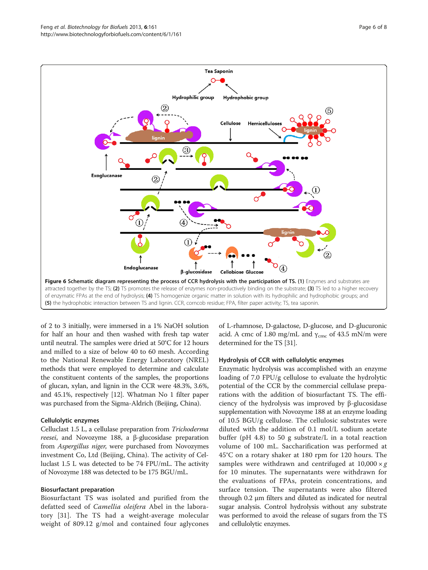<span id="page-5-0"></span>

of 2 to 3 initially, were immersed in a 1% NaOH solution for half an hour and then washed with fresh tap water until neutral. The samples were dried at 50°C for 12 hours and milled to a size of below 40 to 60 mesh. According to the National Renewable Energy Laboratory (NREL) methods that were employed to determine and calculate the constituent contents of the samples, the proportions of glucan, xylan, and lignin in the CCR were 48.3%, 3.6%, and 45.1%, respectively [[12](#page-6-0)]. Whatman No 1 filter paper was purchased from the Sigma-Aldrich (Beijing, China).

## Cellulolytic enzymes

Celluclast 1.5 L, a cellulase preparation from Trichoderma reesei, and Novozyme 188, a β-glucosidase preparation from Aspergillus niger, were purchased from Novozymes investment Co, Ltd (Beijing, China). The activity of Celluclast 1.5 L was detected to be 74 FPU/mL. The activity of Novozyme 188 was detected to be 175 BGU/mL.

## Biosurfactant preparation

Biosurfactant TS was isolated and purified from the defatted seed of Camellia oleifera Abel in the laboratory [\[31\]](#page-7-0). The TS had a weight-average molecular weight of 809.12 g/mol and contained four aglycones

of L-rhamnose, D-galactose, D-glucose, and D-glucuronic acid. A cmc of 1.80 mg/mL and  $\gamma_{\rm cmc}$  of 43.5 mN/m were determined for the TS [[31](#page-7-0)].

## Hydrolysis of CCR with cellulolytic enzymes

Enzymatic hydrolysis was accomplished with an enzyme loading of 7.0 FPU/g cellulose to evaluate the hydrolytic potential of the CCR by the commercial cellulase preparations with the addition of biosurfactant TS. The efficiency of the hydrolysis was improved by β-glucosidase supplementation with Novozyme 188 at an enzyme loading of 10.5 BGU/g cellulose. The cellulosic substrates were diluted with the addition of 0.1 mol/L sodium acetate buffer (pH 4.8) to 50 g substrate/L in a total reaction volume of 100 mL. Saccharification was performed at 45°C on a rotary shaker at 180 rpm for 120 hours. The samples were withdrawn and centrifuged at  $10,000 \times g$ for 10 minutes. The supernatants were withdrawn for the evaluations of FPAs, protein concentrations, and surface tension. The supernatants were also filtered through 0.2 μm filters and diluted as indicated for neutral sugar analysis. Control hydrolysis without any substrate was performed to avoid the release of sugars from the TS and cellulolytic enzymes.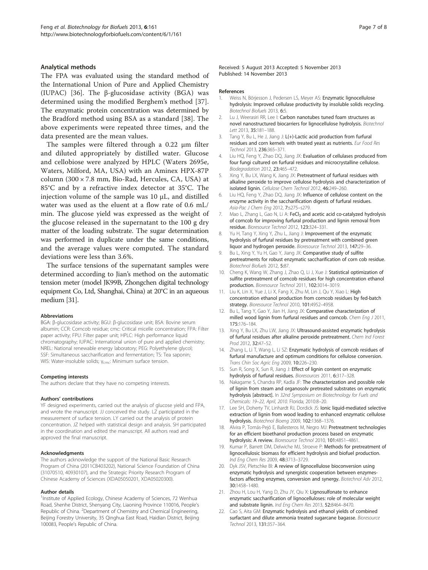#### <span id="page-6-0"></span>Analytical methods

The FPA was evaluated using the standard method of the International Union of Pure and Applied Chemistry (IUPAC) [[36\]](#page-7-0). The β-glucosidase activity (BGA) was determined using the modified Berghem's method [[37](#page-7-0)]. The enzymatic protein concentration was determined by the Bradford method using BSA as a standard [[38\]](#page-7-0). The above experiments were repeated three times, and the data presented are the mean values.

The samples were filtered through a 0.22 μm filter and diluted appropriately by distilled water. Glucose and cellobiose were analyzed by HPLC (Waters 2695e, Waters, Milford, MA, USA) with an Aminex HPX-87P column (300 × 7.8 mm, Bio-Rad, Hercules, CA, USA) at 85°C and by a refractive index detector at 35°C. The injection volume of the sample was 10 μL, and distilled water was used as the eluent at a flow rate of 0.6 mL/ min. The glucose yield was expressed as the weight of the glucose released in the supernatant to the 100 g dry matter of the loading substrate. The sugar determination was performed in duplicate under the same conditions, and the average values were computed. The standard deviations were less than 3.6%.

The surface tensions of the supernatant samples were determined according to Jian's method on the automatic tension meter (model JK99B, Zhongchen digital technology equipment Co, Ltd, Shanghai, China) at 20°C in an aqueous medium [\[31](#page-7-0)].

#### Abbreviations

BGA: β-glucosidase activity; BGU: β-glucosidase unit; BSA: Bovine serum albumin; CCR: Corncob residue; cmc: Critical micelle concentration; FPA: Filter paper activity; FPU: Filter paper unit; HPLC: High performance liquid chromatography; IUPAC: International union of pure and applied chemistry; NREL: National renewable energy laboratory; PEG: Polyethylene glycol; SSF: Simultaneous saccharification and fermentation; TS: Tea saponin; WIS: Water-insoluble solids; γ<sub>cmc</sub>: Minimum surface tension.

#### Competing interests

The authors declare that they have no competing interests.

#### Authors' contributions

YF designed experiments, carried out the analysis of glucose yield and FPA, and wrote the manuscript. JJ conceived the study. LZ participated in the measurement of surface tension. LY carried out the analysis of protein concentration. JZ helped with statistical design and analysis. SH participated in the coordination and edited the manuscript. All authors read and approved the final manuscript.

#### Acknowledgments

The authors acknowledge the support of the National Basic Research Program of China (2011CB403202), National Science Foundation of China (31070510, 40930107), and the Strategic Priority Research Program of Chinese Academy of Sciences (XDA05050201, XDA05020300).

#### Author details

<sup>1</sup>Institute of Applied Ecology, Chinese Academy of Sciences, 72 Wenhua Road, Shenhe District, Shenyang City, Liaoning Province 110016, People's Republic of China. <sup>2</sup> Department of Chemistry and Chemical Engineering, Beijing Forestry University, 35 Qinghua East Road, Haidian District, Beijing 100083, People's Republic of China.

#### References

- 1. Weiss N, Börjesson J, Pedersen LS, Meyer AS: Enzymatic lignocellulose hydrolysis: Improved cellulase productivity by insoluble solids recycling. Biotechnol Biofuels 2013, 6:5.
- Lu J, Weerasiri RR, Lee I: Carbon nanotubes tuned foam structures as novel nanostructured biocarriers for lignocellulose hydrolysis. Biotechnol Lett 2013, 35:181–188.
- 3. Tang Y, Bu L, He J, Jiang J: L(+)-Lactic acid production from furfural residues and corn kernels with treated yeast as nutrients. Eur Food Res Technol 2013, 236:365–371.
- 4. Liu HQ, Feng Y, Zhao DQ, Jiang JX: Evaluation of cellulases produced from four fungi cultured on furfural residues and microcrystalline cellulose. Biodegradation 2012, 23:465–472.
- 5. Xing Y, Bu LX, Wang K, Jiang JX: Pretreatment of furfural residues with alkaline peroxide to improve cellulose hydrolysis and characterization of isolated lignin. Cellulose Chem Technol 2012, 46:249–260.
- 6. Liu HQ, Feng Y, Zhao DQ, Jiang JX: Influence of cellulose content on the enzyme activity in the saccharification digests of furfural residues. Asia-Pac J Chem Eng 2012, 7:s275–s279.
- 7. Mao L, Zhang L, Gao N, Li A: FeCl<sub>3</sub> and acetic acid co-catalyzed hydrolysis of corncob for improving furfural production and lignin removal from residue. Bioresource Technol 2012, 123:324–331.
- 8. Yu H, Tang Y, Xing Y, Zhu L, Jiang J: Improvement of the enzymatic hydrolysis of furfural residues by pretreatment with combined green liquor and hydrogen peroxide. Bioresource Technol 2013, 147:29–36.
- 9. Bu L, Xing Y, Yu H, Gao Y, Jiang JX: Comparative study of sulfite pretreatments for robust enzymatic saccharification of corn cob residue. Biotechnol Biofuels 2012, 5:87.
- 10. Cheng K, Wang W, Zhang J, Zhao Q, Li J, Xue J: Statistical optimization of sulfite pretreatment of corncob residues for high concentration ethanol production. Bioresource Technol 2011, 102:3014–3019.
- 11. Liu K, Lin X, Yue J, Li X, Fang X, Zhu M, Lin J, Qu Y, Xiao L: High concentration ethanol production from corncob residues by fed-batch strategy. Bioresource Technol 2010, 101:4952-4958.
- 12. Bu L, Tang Y, Gao Y, Jian H, Jiang JX: Comparative characterization of milled wood lignin from furfural residues and corncob. Chem Eng J 2011, 175:176–184.
- 13. Xing Y, Bu LX, Zhu LW, Jiang JX: Ultrasound-assisted enzymatic hydrolysis of furfural residues after alkaline peroxide pretreatment. Chem Ind Forest Prod 2012, 32:47–52.
- 14. Zhang L, Li T, Wang L, Li SZ: Enzymatic hydrolysis of corncob residues of furfural manufacture and optimum conditions for cellulose conversion. Trans Chin Soc Agric Eng 2009, 10:226–230.
- 15. Sun R, Song X, Sun R, Jiang J: Effect of lignin content on enzymatic hydrolysis of furfural residues. Bioresources 2011, 6:317–328.
- 16. Nakagame S, Chandra RP, Kadla JF: The characterization and possible role of lignin from steam and organosolv pretreated substrates on enzymatic hydrolysis [abstract]. In 32nd Symposium on Biotechnology for Fuels and Chemicals: 19–22, April, 2010. Florida; 2010:8–20.
- 17. Lee SH, Doherty TV, Linhardt RJ, Dordick JS: Ionic liquid-mediated selective extraction of lignin from wood leading to enhanced enzymatic cellulose hydrolysis. Biotechnol Bioeng 2009, 102:1368–1376.
- 18. Alvira P, Tomás-Pejó E, Ballesteros M, Negro MJ: Pretreatment technologies for an efficient bioethanol production process based on enzymatic hydrolysis: A review. Bioresource Technol 2010, 101:4851–4861.
- 19. Kumar P, Barrett DM, Delwiche MJ, Stroeve P: Methods for pretreatment of lignocellulosic biomass for efficient hydrolysis and biofuel production. Ind Eng Chem Res 2009, 48:3713–3729.
- 20. Dyk JSV, Pletschke BI: A review of lignocellulose bioconversion using enzymatic hydrolysis and synergistic cooperation between enzymesfactors affecting enzymes, conversion and synergy. Biotechnol Adv 2012, 30:1458–1480.
- 21. Zhou H, Lou H, Yang D, Zhu JY, Qiu X: Lignosulfonate to enhance enzymatic saccharification of lignocelluloses: role of molecular weight and substrate lignin. Ind Eng Chem Res 2013, 52:8464–8470.
- 22. Cao S, Aita GM: Enzymatic hydrolysis and ethanol yields of combined surfactant and dilute ammonia treated sugarcane bagasse. Bioresource Technol 2013, 131:357–364.